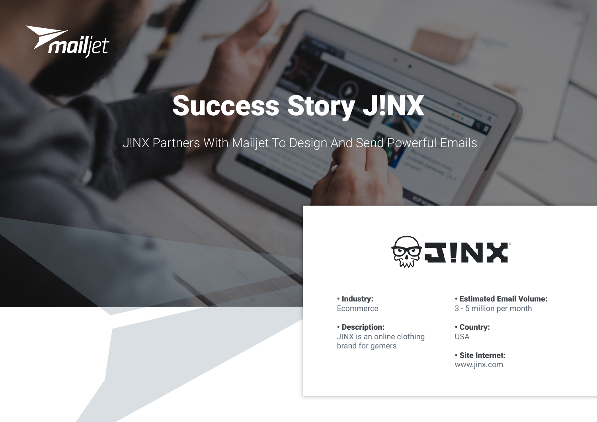

# Success Story J!NX

J!NX Partners With Mailjet To Design And Send Powerful Emails





• Industry: Ecommerce

• Description: JINX is an online clothing brand for gamers

• Estimated Email Volume: 3 - 5 million per month

• Country: USA

• Site Internet: [www.jinx.com](https://www.jinx.com/)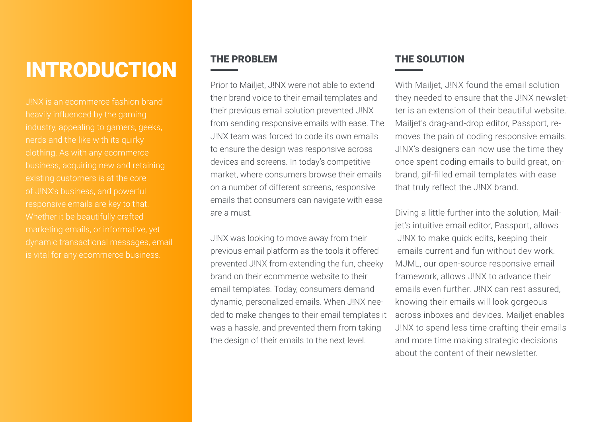## **INTRODUCTION**

J!NX is an ecommerce fashion brand heavily influenced by the gaming industry, appealing to gamers, geeks, business, acquiring new and retaining existing customers is at the core Whether it be beautifully crafted dynamic transactional messages, email is vital for any ecommerce business.

### THE PROBLEM

Prior to Mailjet, J!NX were not able to extend their brand voice to their email templates and their previous email solution prevented J!NX from sending responsive emails with ease. The J!NX team was forced to code its own emails to ensure the design was responsive across devices and screens. In today's competitive market, where consumers browse their emails on a number of different screens, responsive emails that consumers can navigate with ease are a must.

J!NX was looking to move away from their previous email platform as the tools it offered prevented J!NX from extending the fun, cheeky brand on their ecommerce website to their email templates. Today, consumers demand dynamic, personalized emails. When J!NX needed to make changes to their email templates it was a hassle, and prevented them from taking the design of their emails to the next level.

### THE SOLUTION

With Mailjet, J!NX found the email solution they needed to ensure that the J!NX newsletter is an extension of their beautiful website. Mailjet's drag-and-drop editor, Passport, removes the pain of coding responsive emails. J!NX's designers can now use the time they once spent coding emails to build great, onbrand, gif-filled email templates with ease that truly reflect the J!NX brand.

Diving a little further into the solution, Mailjet's intuitive email editor, Passport, allows J!NX to make quick edits, keeping their emails current and fun without dev work. MJML, our open-source responsive email framework, allows J!NX to advance their emails even further. J!NX can rest assured, knowing their emails will look gorgeous across inboxes and devices. Mailjet enables J!NX to spend less time crafting their emails and more time making strategic decisions about the content of their newsletter.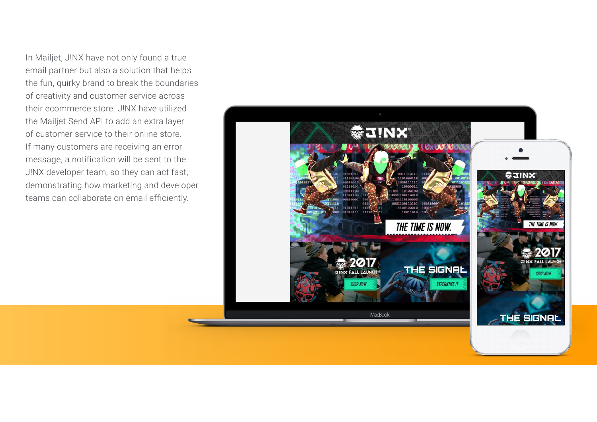In Mailjet, J!NX have not only found a true email partner but also a solution that helps the fun, quirky brand to break the boundaries of creativity and customer service across their ecommerce store. J!NX have utilized the Mailjet Send API to add an extra layer of customer service to their online store. If many customers are receiving an error message, a notification will be sent to the J!NX developer team, so they can act fast, demonstrating how marketing and developer teams can collaborate on email efficiently.